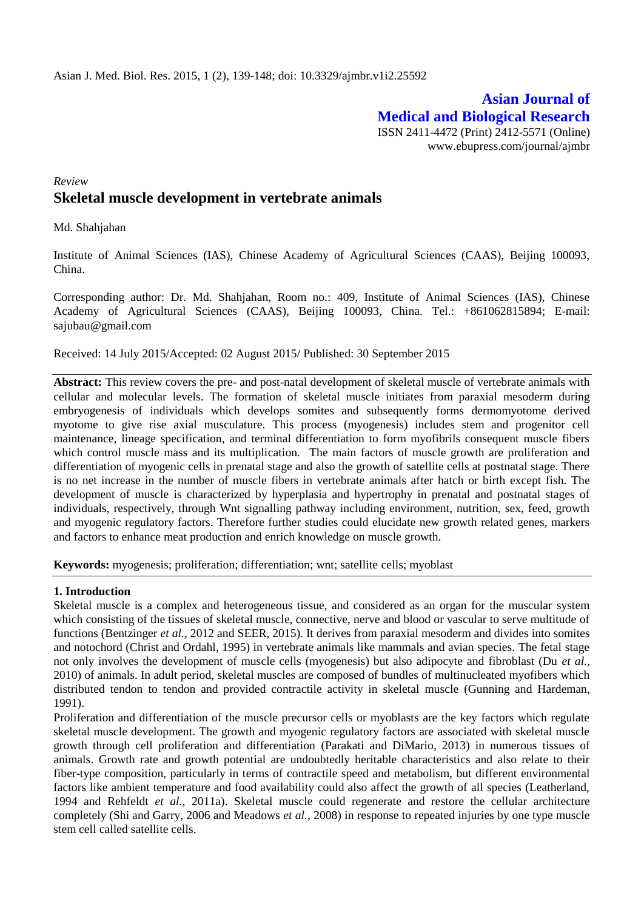# **Asian Journal of Medical and Biological Research** ISSN 2411-4472 (Print) 2412-5571 (Online)

www.ebupress.com/journal/ajmbr

# *Review* **Skeletal muscle development in vertebrate animals**

Md. Shahjahan

Institute of Animal Sciences (IAS), Chinese Academy of Agricultural Sciences (CAAS), Beijing 100093, China.

Corresponding author: Dr. Md. Shahjahan, Room no.: 409, Institute of Animal Sciences (IAS), Chinese Academy of Agricultural Sciences (CAAS), Beijing 100093, China. Tel.: +861062815894; E-mail: [sajubau@gmail.com](mailto:sajubau@gmail.com)

Received: 14 July 2015/Accepted: 02 August 2015/ Published: 30 September 2015

**Abstract:** This review covers the pre- and post-natal development of skeletal muscle of vertebrate animals with cellular and molecular levels. The formation of skeletal muscle initiates from paraxial mesoderm during embryogenesis of individuals which develops somites and subsequently forms dermomyotome derived myotome to give rise axial musculature. This process (myogenesis) includes stem and progenitor cell maintenance, lineage specification, and terminal differentiation to form myofibrils consequent muscle fibers which control muscle mass and its multiplication. The main factors of muscle growth are proliferation and differentiation of myogenic cells in prenatal stage and also the growth of satellite cells at postnatal stage. There is no net increase in the number of muscle fibers in vertebrate animals after hatch or birth except fish. The development of muscle is characterized by hyperplasia and hypertrophy in prenatal and postnatal stages of individuals, respectively, through Wnt signalling pathway including environment, nutrition, sex, feed, growth and myogenic regulatory factors. Therefore further studies could elucidate new growth related genes, markers and factors to enhance meat production and enrich knowledge on muscle growth.

**Keywords:** myogenesis; proliferation; differentiation; wnt; satellite cells; myoblast

## **1. Introduction**

Skeletal muscle is a complex and heterogeneous tissue, and considered as an organ for the muscular system which consisting of the tissues of skeletal muscle, connective, nerve and blood or vascular to serve multitude of functions (Bentzinger *et al.*, 2012 and SEER, 2015). It derives from paraxial mesoderm and divides into somites and notochord (Christ and Ordahl, 1995) in vertebrate animals like mammals and avian species. The fetal stage not only involves the development of muscle cells (myogenesis) but also adipocyte and fibroblast (Du *et al.*, 2010) of animals. In adult period, skeletal muscles are composed of bundles of multinucleated myofibers which distributed tendon to tendon and provided contractile activity in skeletal muscle (Gunning and Hardeman, 1991).

Proliferation and differentiation of the muscle precursor cells or myoblasts are the key factors which regulate skeletal muscle development. The growth and myogenic regulatory factors are associated with skeletal muscle growth through cell proliferation and differentiation (Parakati and DiMario, 2013) in numerous tissues of animals. Growth rate and growth potential are undoubtedly heritable characteristics and also relate to their fiber-type composition, particularly in terms of contractile speed and metabolism, but different environmental factors like ambient temperature and food availability could also affect the growth of all species (Leatherland, 1994 and Rehfeldt *et al.*, 2011a). Skeletal muscle could regenerate and restore the cellular architecture completely (Shi and Garry, 2006 and Meadows *et al.*, 2008) in response to repeated injuries by one type muscle stem cell called satellite cells.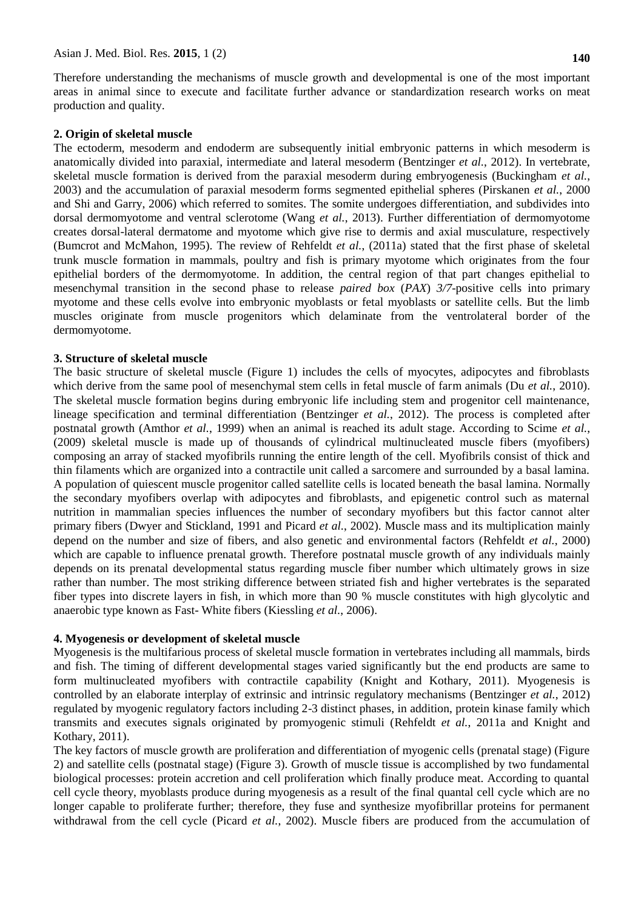Therefore understanding the mechanisms of muscle growth and developmental is one of the most important areas in animal since to execute and facilitate further advance or standardization research works on meat production and quality.

## **2. Origin of skeletal muscle**

The ectoderm, mesoderm and endoderm are subsequently initial embryonic patterns in which mesoderm is anatomically divided into paraxial, intermediate and lateral mesoderm (Bentzinger *et al.*, 2012). In vertebrate, skeletal muscle formation is derived from the paraxial mesoderm during embryogenesis (Buckingham *et al.*, 2003) and the accumulation of paraxial mesoderm forms segmented epithelial spheres (Pirskanen *et al.*, 2000 and Shi and Garry, 2006) which referred to somites. The somite undergoes differentiation, and subdivides into dorsal dermomyotome and ventral sclerotome (Wang *et al.*, 2013). Further differentiation of dermomyotome creates dorsal-lateral dermatome and myotome which give rise to dermis and axial musculature, respectively (Bumcrot and McMahon, 1995). The review of Rehfeldt *et al.*, (2011a) stated that the first phase of skeletal trunk muscle formation in mammals, poultry and fish is primary myotome which originates from the four epithelial borders of the dermomyotome. In addition, the central region of that part changes epithelial to mesenchymal transition in the second phase to release *paired box* (*PAX*) *3/7*-positive cells into primary myotome and these cells evolve into embryonic myoblasts or fetal myoblasts or satellite cells. But the limb muscles originate from muscle progenitors which delaminate from the ventrolateral border of the dermomyotome.

## **3. Structure of skeletal muscle**

The basic structure of skeletal muscle (Figure 1) includes the cells of myocytes, adipocytes and fibroblasts which derive from the same pool of mesenchymal stem cells in fetal muscle of farm animals (Du *et al.*, 2010). The skeletal muscle formation begins during embryonic life including stem and progenitor cell maintenance, lineage specification and terminal differentiation (Bentzinger *et al.*, 2012). The process is completed after postnatal growth (Amthor *et al.*, 1999) when an animal is reached its adult stage. According to Scime *et al.*, (2009) skeletal muscle is made up of thousands of cylindrical multinucleated muscle fibers (myofibers) composing an array of stacked myofibrils running the entire length of the cell. Myofibrils consist of thick and thin filaments which are organized into a contractile unit called a sarcomere and surrounded by a basal lamina. A population of quiescent muscle progenitor called satellite cells is located beneath the basal lamina. Normally the secondary myofibers overlap with adipocytes and fibroblasts, and epigenetic control such as maternal nutrition in mammalian species influences the number of secondary myofibers but this factor cannot alter primary fibers (Dwyer and Stickland, 1991 and Picard *et al.*, 2002). Muscle mass and its multiplication mainly depend on the number and size of fibers, and also genetic and environmental factors (Rehfeldt *et al.*, 2000) which are capable to influence prenatal growth. Therefore postnatal muscle growth of any individuals mainly depends on its prenatal developmental status regarding muscle fiber number which ultimately grows in size rather than number. The most striking difference between striated fish and higher vertebrates is the separated fiber types into discrete layers in fish, in which more than 90 % muscle constitutes with high glycolytic and anaerobic type known as Fast- White fibers (Kiessling *et al.*, 2006).

## **4. Myogenesis or development of skeletal muscle**

Myogenesis is the multifarious process of skeletal muscle formation in vertebrates including all mammals, birds and fish. The timing of different developmental stages varied significantly but the end products are same to form multinucleated myofibers with contractile capability (Knight and Kothary, 2011). Myogenesis is controlled by an elaborate interplay of extrinsic and intrinsic regulatory mechanisms (Bentzinger *et al.*, 2012) regulated by myogenic regulatory factors including 2-3 distinct phases, in addition, protein kinase family which transmits and executes signals originated by promyogenic stimuli (Rehfeldt *et al.*, 2011a and Knight and Kothary, 2011).

The key factors of muscle growth are proliferation and differentiation of myogenic cells (prenatal stage) (Figure 2) and satellite cells (postnatal stage) (Figure 3). Growth of muscle tissue is accomplished by two fundamental biological processes: protein accretion and cell proliferation which finally produce meat. According to quantal cell cycle theory, myoblasts produce during myogenesis as a result of the final quantal cell cycle which are no longer capable to proliferate further; therefore, they fuse and synthesize myofibrillar proteins for permanent withdrawal from the cell cycle (Picard *et al.*, 2002). Muscle fibers are produced from the accumulation of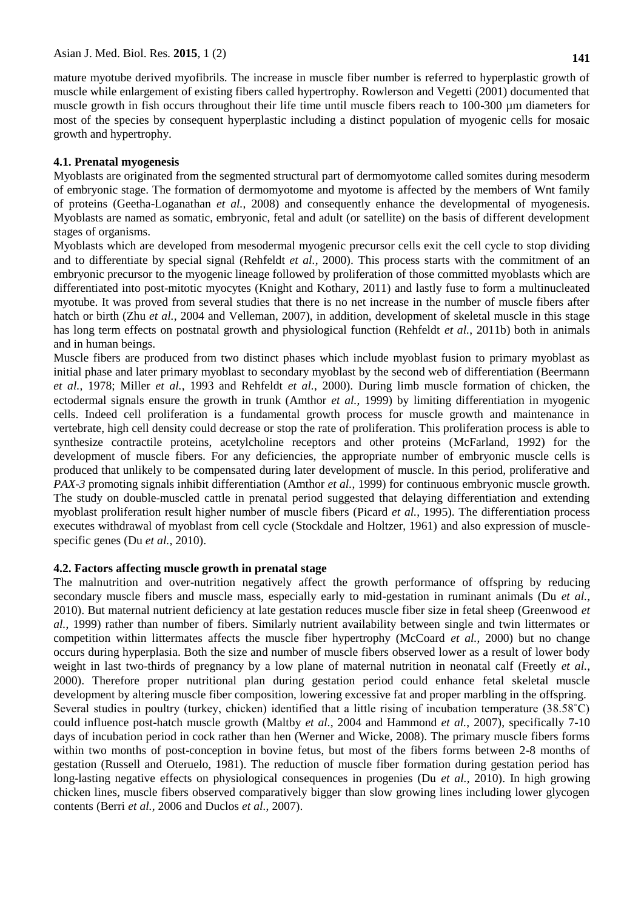muscle while enlargement of existing fibers called hypertrophy. Rowlerson and Vegetti (2001) documented that muscle growth in fish occurs throughout their life time until muscle fibers reach to 100-300 µm diameters for most of the species by consequent hyperplastic including a distinct population of myogenic cells for mosaic growth and hypertrophy.

# **4.1. Prenatal myogenesis**

Myoblasts are originated from the segmented structural part of dermomyotome called somites during mesoderm of embryonic stage. The formation of dermomyotome and myotome is affected by the members of Wnt family of proteins (Geetha-Loganathan *et al.*, 2008) and consequently enhance the developmental of myogenesis. Myoblasts are named as somatic, embryonic, fetal and adult (or satellite) on the basis of different development stages of organisms.

Myoblasts which are developed from mesodermal myogenic precursor cells exit the cell cycle to stop dividing and to differentiate by special signal (Rehfeldt *et al.*, 2000). This process starts with the commitment of an embryonic precursor to the myogenic lineage followed by proliferation of those committed myoblasts which are differentiated into post-mitotic myocytes (Knight and Kothary, 2011) and lastly fuse to form a multinucleated myotube. It was proved from several studies that there is no net increase in the number of muscle fibers after hatch or birth (Zhu *et al.*, 2004 and Velleman, 2007), in addition, development of skeletal muscle in this stage has long term effects on postnatal growth and physiological function (Rehfeldt *et al.*, 2011b) both in animals and in human beings.

Muscle fibers are produced from two distinct phases which include myoblast fusion to primary myoblast as initial phase and later primary myoblast to secondary myoblast by the second web of differentiation (Beermann *et al.*, 1978; Miller *et al.*, 1993 and Rehfeldt *et al.*, 2000). During limb muscle formation of chicken, the ectodermal signals ensure the growth in trunk (Amthor *et al.*, 1999) by limiting differentiation in myogenic cells. Indeed cell proliferation is a fundamental growth process for muscle growth and maintenance in vertebrate, high cell density could decrease or stop the rate of proliferation. This proliferation process is able to synthesize contractile proteins, acetylcholine receptors and other proteins (McFarland, 1992) for the development of muscle fibers. For any deficiencies, the appropriate number of embryonic muscle cells is produced that unlikely to be compensated during later development of muscle. In this period, proliferative and *PAX-3* promoting signals inhibit differentiation (Amthor *et al.*, 1999) for continuous embryonic muscle growth. The study on double-muscled cattle in prenatal period suggested that delaying differentiation and extending myoblast proliferation result higher number of muscle fibers (Picard *et al.*, 1995). The differentiation process executes withdrawal of myoblast from cell cycle (Stockdale and Holtzer, 1961) and also expression of musclespecific genes (Du *et al.*, 2010).

# **4.2. Factors affecting muscle growth in prenatal stage**

The malnutrition and over-nutrition negatively affect the growth performance of offspring by reducing secondary muscle fibers and muscle mass, especially early to mid-gestation in ruminant animals (Du *et al.*, 2010). But maternal nutrient deficiency at late gestation reduces muscle fiber size in fetal sheep (Greenwood *et al.*, 1999) rather than number of fibers. Similarly nutrient availability between single and twin littermates or competition within littermates affects the muscle fiber hypertrophy (McCoard *et al.*, 2000) but no change occurs during hyperplasia. Both the size and number of muscle fibers observed lower as a result of lower body weight in last two-thirds of pregnancy by a low plane of maternal nutrition in neonatal calf (Freetly *et al.*, 2000). Therefore proper nutritional plan during gestation period could enhance fetal skeletal muscle development by altering muscle fiber composition, lowering excessive fat and proper marbling in the offspring. Several studies in poultry (turkey, chicken) identified that a little rising of incubation temperature (38.58˚C) could influence post-hatch muscle growth (Maltby *et al.*, 2004 and Hammond *et al.*, 2007), specifically 7-10 days of incubation period in cock rather than hen (Werner and Wicke, 2008). The primary muscle fibers forms within two months of post-conception in bovine fetus, but most of the fibers forms between 2-8 months of gestation (Russell and Oteruelo, 1981). The reduction of muscle fiber formation during gestation period has long-lasting negative effects on physiological consequences in progenies (Du *et al.*, 2010). In high growing chicken lines, muscle fibers observed comparatively bigger than slow growing lines including lower glycogen contents (Berri *et al.*, 2006 and Duclos *et al.*, 2007).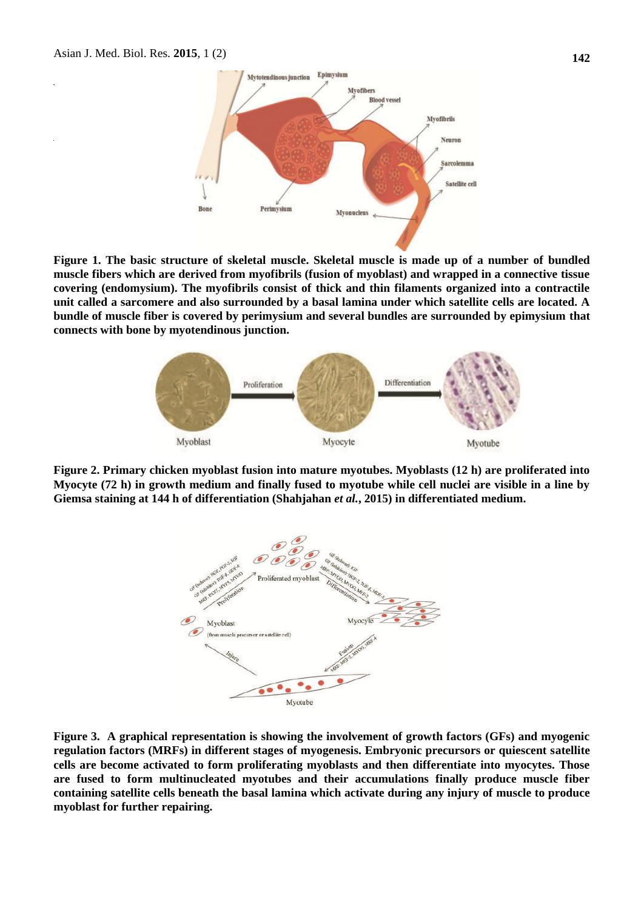

**Figure 1. The basic structure of skeletal muscle. Skeletal muscle is made up of a number of bundled muscle fibers which are derived from myofibrils (fusion of myoblast) and wrapped in a connective tissue covering (endomysium). The myofibrils consist of thick and thin filaments organized into a contractile unit called a sarcomere and also surrounded by a basal lamina under which satellite cells are located. A bundle of muscle fiber is covered by perimysium and several bundles are surrounded by epimysium that connects with bone by myotendinous junction.**



**Figure 2. Primary chicken myoblast fusion into mature myotubes. Myoblasts (12 h) are proliferated into Myocyte (72 h) in growth medium and finally fused to myotube while cell nuclei are visible in a line by Giemsa staining at 144 h of differentiation (Shahjahan** *et al.***, 2015) in differentiated medium.** 



**Figure 3. A graphical representation is showing the involvement of growth factors (GFs) and myogenic regulation factors (MRFs) in different stages of myogenesis. Embryonic precursors or quiescent satellite cells are become activated to form proliferating myoblasts and then differentiate into myocytes. Those are fused to form multinucleated myotubes and their accumulations finally produce muscle fiber containing satellite cells beneath the basal lamina which activate during any injury of muscle to produce myoblast for further repairing.**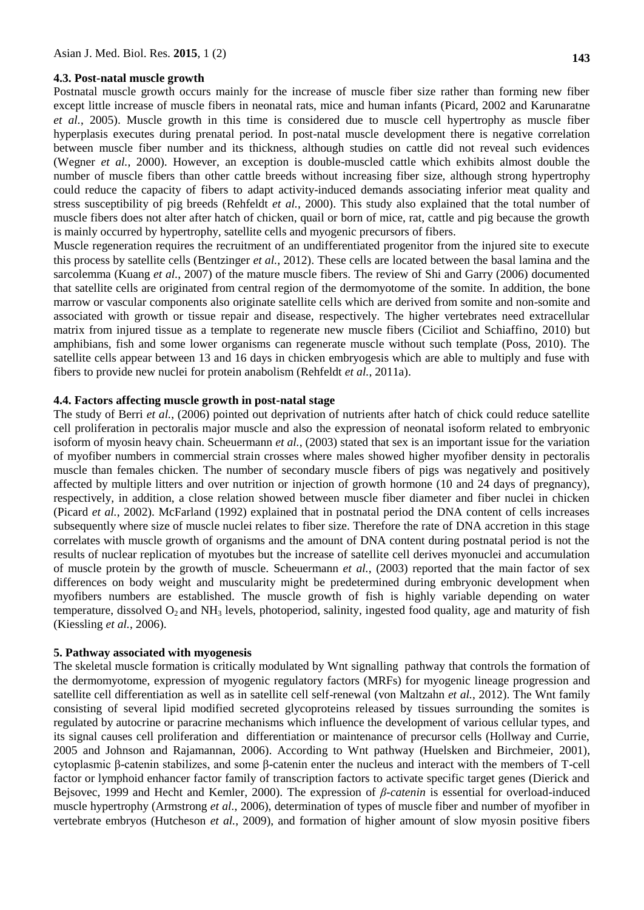#### **4.3. Post-natal muscle growth**

Postnatal muscle growth occurs mainly for the increase of muscle fiber size rather than forming new fiber except little increase of muscle fibers in neonatal rats, mice and human infants (Picard, 2002 and Karunaratne *et al.*, 2005). Muscle growth in this time is considered due to muscle cell hypertrophy as muscle fiber hyperplasis executes during prenatal period. In post-natal muscle development there is negative correlation between muscle fiber number and its thickness, although studies on cattle did not reveal such evidences (Wegner *et al.*, 2000). However, an exception is double-muscled cattle which exhibits almost double the number of muscle fibers than other cattle breeds without increasing fiber size, although strong hypertrophy could reduce the capacity of fibers to adapt activity-induced demands associating inferior meat quality and stress susceptibility of pig breeds (Rehfeldt *et al.*, 2000). This study also explained that the total number of muscle fibers does not alter after hatch of chicken, quail or born of mice, rat, cattle and pig because the growth is mainly occurred by hypertrophy, satellite cells and myogenic precursors of fibers.

Muscle regeneration requires the recruitment of an undifferentiated progenitor from the injured site to execute this process by satellite cells (Bentzinger *et al.*, 2012). These cells are located between the basal lamina and the sarcolemma (Kuang *et al.*, 2007) of the mature muscle fibers. The review of Shi and Garry (2006) documented that satellite cells are originated from central region of the dermomyotome of the somite. In addition, the bone marrow or vascular components also originate satellite cells which are derived from somite and non-somite and associated with growth or tissue repair and disease, respectively. The higher vertebrates need extracellular matrix from injured tissue as a template to regenerate new muscle fibers (Ciciliot and Schiaffino, 2010) but amphibians, fish and some lower organisms can regenerate muscle without such template (Poss, 2010). The satellite cells appear between 13 and 16 days in chicken embryogesis which are able to multiply and fuse with fibers to provide new nuclei for protein anabolism (Rehfeldt *et al.*, 2011a).

#### **4.4. Factors affecting muscle growth in post-natal stage**

The study of Berri *et al.*, (2006) pointed out deprivation of nutrients after hatch of chick could reduce satellite cell proliferation in pectoralis major muscle and also the expression of neonatal isoform related to embryonic isoform of myosin heavy chain. Scheuermann *et al.*, (2003) stated that sex is an important issue for the variation of myofiber numbers in commercial strain crosses where males showed higher myofiber density in pectoralis muscle than females chicken. The number of secondary muscle fibers of pigs was negatively and positively affected by multiple litters and over nutrition or injection of growth hormone (10 and 24 days of pregnancy), respectively, in addition, a close relation showed between muscle fiber diameter and fiber nuclei in chicken (Picard *et al.*, 2002). McFarland (1992) explained that in postnatal period the DNA content of cells increases subsequently where size of muscle nuclei relates to fiber size. Therefore the rate of DNA accretion in this stage correlates with muscle growth of organisms and the amount of DNA content during postnatal period is not the results of nuclear replication of myotubes but the increase of satellite cell derives myonuclei and accumulation of muscle protein by the growth of muscle. Scheuermann *et al.*, (2003) reported that the main factor of sex differences on body weight and muscularity might be predetermined during embryonic development when myofibers numbers are established. The muscle growth of fish is highly variable depending on water temperature, dissolved  $O_2$  and NH<sub>3</sub> levels, photoperiod, salinity, ingested food quality, age and maturity of fish (Kiessling *et al.*, 2006).

#### **5. Pathway associated with myogenesis**

The skeletal muscle formation is critically modulated by Wnt signalling pathway that controls the formation of the dermomyotome, expression of myogenic regulatory factors (MRFs) for myogenic lineage progression and satellite cell differentiation as well as in satellite cell self-renewal (von Maltzahn *et al.*, 2012). The Wnt family consisting of several lipid modified secreted glycoproteins released by tissues surrounding the somites is regulated by autocrine or paracrine mechanisms which influence the development of various cellular types, and its signal causes cell proliferation and differentiation or maintenance of precursor cells (Hollway and Currie, 2005 and Johnson and Rajamannan, 2006). According to Wnt pathway (Huelsken and Birchmeier, 2001), cytoplasmic β-catenin stabilizes, and some β-catenin enter the nucleus and interact with the members of T-cell factor or lymphoid enhancer factor family of transcription factors to activate specific target genes (Dierick and Bejsovec, 1999 and Hecht and Kemler, 2000). The expression of *β-catenin* is essential for overload-induced muscle hypertrophy (Armstrong *et al.*, 2006), determination of types of muscle fiber and number of myofiber in vertebrate embryos (Hutcheson *et al.*, 2009), and formation of higher amount of slow myosin positive fibers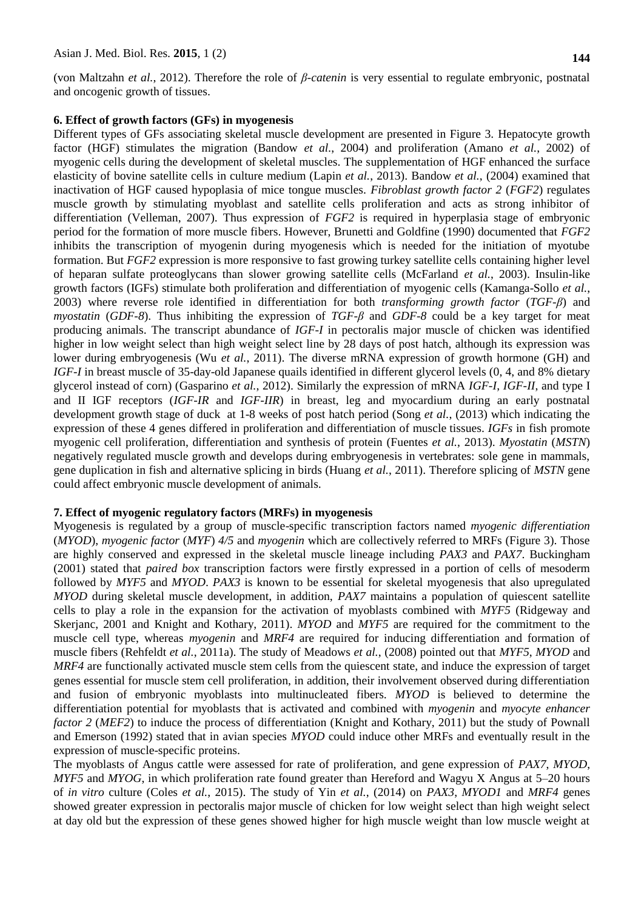(von Maltzahn *et al.*, 2012). Therefore the role of *β-catenin* is very essential to regulate embryonic, postnatal and oncogenic growth of tissues.

#### **6. Effect of growth factors (GFs) in myogenesis**

Different types of GFs associating skeletal muscle development are presented in Figure 3. Hepatocyte growth factor (HGF) stimulates the migration (Bandow *et al.*, 2004) and proliferation (Amano *et al.*, 2002) of myogenic cells during the development of skeletal muscles. The supplementation of HGF enhanced the surface elasticity of bovine satellite cells in culture medium (Lapin *et al.*, 2013). Bandow *et al.*, (2004) examined that inactivation of HGF caused hypoplasia of mice tongue muscles. *Fibroblast growth factor 2* (*FGF2*) regulates muscle growth by stimulating myoblast and satellite cells proliferation and acts as strong inhibitor of differentiation (Velleman, 2007). Thus expression of *FGF2* is required in hyperplasia stage of embryonic period for the formation of more muscle fibers. However, Brunetti and Goldfine (1990) documented that *FGF2* inhibits the transcription of myogenin during myogenesis which is needed for the initiation of myotube formation. But *FGF2* expression is more responsive to fast growing turkey satellite cells containing higher level of heparan sulfate proteoglycans than slower growing satellite cells (McFarland *et al.*, 2003). Insulin-like growth factors (IGFs) stimulate both proliferation and differentiation of myogenic cells (Kamanga-Sollo *et al.*, 2003) where reverse role identified in differentiation for both *transforming growth factor* (*TGF-β*) and *myostatin* (*GDF-8*). Thus inhibiting the expression of *TGF-β* and *GDF-8* could be a key target for meat producing animals. The transcript abundance of *IGF-I* in pectoralis major muscle of chicken was identified higher in low weight select than high weight select line by 28 days of post hatch, although its expression was lower during embryogenesis (Wu *et al.*, 2011). The diverse mRNA expression of growth hormone (GH) and *IGF-I* in breast muscle of 35-day-old Japanese quails identified in different glycerol levels (0, 4, and 8% dietary glycerol instead of corn) (Gasparino *et al.*, 2012). Similarly the expression of mRNA *IGF-I*, *IGF-II*, and type I and II IGF receptors (*IGF-IR* and *IGF-IIR*) in breast, leg and myocardium during an early postnatal development growth stage of duck at 1-8 weeks of post hatch period (Song *et al.*, (2013) which indicating the expression of these 4 genes differed in proliferation and differentiation of muscle tissues. *IGFs* in fish promote myogenic cell proliferation, differentiation and synthesis of protein (Fuentes *et al.*, 2013). *Myostatin* (*MSTN*) negatively regulated muscle growth and develops during embryogenesis in vertebrates: sole gene in mammals, gene duplication in fish and alternative splicing in birds (Huang *et al.*, 2011). Therefore splicing of *MSTN* gene could affect embryonic muscle development of animals.

## **7. Effect of myogenic regulatory factors (MRFs) in myogenesis**

Myogenesis is regulated by a group of muscle-specific transcription factors named *myogenic differentiation* (*MYOD*), *myogenic factor* (*MYF*) *4/5* and *myogenin* which are collectively referred to MRFs (Figure 3). Those are highly conserved and expressed in the skeletal muscle lineage including *PAX3* and *PAX7*. Buckingham (2001) stated that *paired box* transcription factors were firstly expressed in a portion of cells of mesoderm followed by *MYF5* and *MYOD*. *PAX3* is known to be essential for skeletal myogenesis that also upregulated *MYOD* during skeletal muscle development, in addition, *PAX7* maintains a population of quiescent satellite cells to play a role in the expansion for the activation of myoblasts combined with *MYF5* (Ridgeway and Skerjanc, 2001 and Knight and Kothary, 2011). *MYOD* and *MYF5* are required for the commitment to the muscle cell type, whereas *myogenin* and *MRF4* are required for inducing differentiation and formation of muscle fibers (Rehfeldt *et al.*, 2011a). The study of Meadows *et al.*, (2008) pointed out that *MYF5*, *MYOD* and *MRF4* are functionally activated muscle stem cells from the quiescent state, and induce the expression of target genes essential for muscle stem cell proliferation, in addition, their involvement observed during differentiation and fusion of embryonic myoblasts into multinucleated fibers. *MYOD* is believed to determine the differentiation potential for myoblasts that is activated and combined with *myogenin* and *myocyte enhancer factor 2 (MEF2)* to induce the process of differentiation (Knight and Kothary, 2011) but the study of Pownall and Emerson (1992) stated that in avian species *MYOD* could induce other MRFs and eventually result in the expression of muscle-specific proteins.

The myoblasts of Angus cattle were assessed for rate of proliferation, and gene expression of *PAX7*, *MYOD*, *MYF5* and *MYOG*, in which proliferation rate found greater than Hereford and Wagyu X Angus at 5–20 hours of *in vitro* culture (Coles *et al.*, 2015). The study of Yin *et al.*, (2014) on *PAX3*, *MYOD1* and *MRF4* genes showed greater expression in pectoralis major muscle of chicken for low weight select than high weight select at day old but the expression of these genes showed higher for high muscle weight than low muscle weight at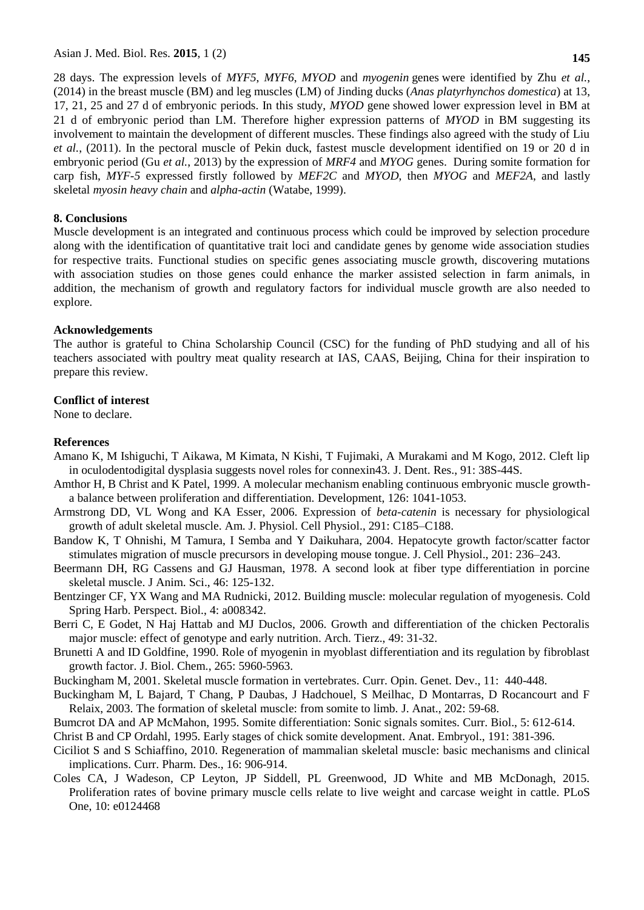Asian J. Med. Biol. Res. **2015**, 1 (2) **145**

28 days. The expression levels of *MYF5*, *MYF6*, *MYOD* and *myogenin* genes were identified by Zhu *et al.*, (2014) in the breast muscle (BM) and leg muscles (LM) of Jinding ducks (*Anas platyrhynchos domestica*) at 13, 17, 21, 25 and 27 d of embryonic periods. In this study, *MYOD* gene showed lower expression level in BM at 21 d of embryonic period than LM. Therefore higher expression patterns of *MYOD* in BM suggesting its involvement to maintain the development of different muscles. These findings also agreed with the study of Liu *et al.*, (2011). In the pectoral muscle of Pekin duck, fastest muscle development identified on 19 or 20 d in embryonic period (Gu *et al.*, 2013) by the expression of *MRF4* and *MYOG* genes. During somite formation for carp fish, *MYF-5* expressed firstly followed by *MEF2C* and *MYOD*, then *MYOG* and *MEF2A*, and lastly skeletal *myosin heavy chain* and *alpha-actin* (Watabe, 1999).

## **8. Conclusions**

Muscle development is an integrated and continuous process which could be improved by selection procedure along with the identification of quantitative trait loci and candidate genes by genome wide association studies for respective traits. Functional studies on specific genes associating muscle growth, discovering mutations with association studies on those genes could enhance the marker assisted selection in farm animals, in addition, the mechanism of growth and regulatory factors for individual muscle growth are also needed to explore.

## **Acknowledgements**

The author is grateful to China Scholarship Council (CSC) for the funding of PhD studying and all of his teachers associated with poultry meat quality research at IAS, CAAS, Beijing, China for their inspiration to prepare this review.

## **Conflict of interest**

None to declare.

## **References**

- Amano K, M Ishiguchi, T Aikawa, M Kimata, N Kishi, T Fujimaki, A Murakami and M Kogo, 2012. Cleft lip in oculodentodigital dysplasia suggests novel roles for connexin43. J. Dent. Res., 91: 38S-44S.
- Amthor H, B Christ and K Patel, 1999. A molecular mechanism enabling continuous embryonic muscle growtha balance between proliferation and differentiation. Development, 126: 1041-1053.
- Armstrong DD, VL Wong and KA Esser, 2006. Expression of *beta-catenin* is necessary for physiological growth of adult skeletal muscle. Am. J. Physiol. Cell Physiol., 291: C185–C188.
- Bandow K, T Ohnishi, M Tamura, I Semba and Y Daikuhara, 2004. Hepatocyte growth factor/scatter factor stimulates migration of muscle precursors in developing mouse tongue. J. Cell Physiol., 201: 236–243.
- Beermann DH, RG Cassens and GJ Hausman, 1978. A second look at fiber type differentiation in porcine skeletal muscle. J Anim. Sci., 46: 125-132.
- Bentzinger CF, YX Wang and MA Rudnicki, 2012. Building muscle: molecular regulation of myogenesis. Cold Spring Harb. Perspect. Biol., 4: a008342.
- Berri C, E Godet, N Haj Hattab and MJ Duclos, 2006. Growth and differentiation of the chicken Pectoralis major muscle: effect of genotype and early nutrition. Arch. Tierz., 49: 31-32.
- Brunetti A and ID Goldfine, 1990. Role of myogenin in myoblast differentiation and its regulation by fibroblast growth factor. J. Biol. Chem., 265: 5960-5963.
- Buckingham M, 2001. Skeletal muscle formation in vertebrates. Curr. Opin. Genet. Dev., 11: 440-448.
- Buckingham M, L Bajard, T Chang, P Daubas, J Hadchouel, S Meilhac, D Montarras, D Rocancourt and F Relaix, 2003. The formation of skeletal muscle: from somite to limb. J. Anat., 202: 59-68.
- Bumcrot DA and AP McMahon, 1995. Somite differentiation: Sonic signals somites. Curr. Biol., 5: 612-614.

Christ B and CP Ordahl, 1995. Early stages of chick somite development. Anat. Embryol., 191: 381-396.

- Ciciliot S and S Schiaffino, 2010. Regeneration of mammalian skeletal muscle: basic mechanisms and clinical implications. Curr. Pharm. Des., 16: 906-914.
- Coles CA, J Wadeson, CP Leyton, JP Siddell, PL Greenwood, JD White and MB McDonagh, 2015. Proliferation rates of bovine primary muscle cells relate to live weight and carcase weight in cattle. PLoS One, 10: e0124468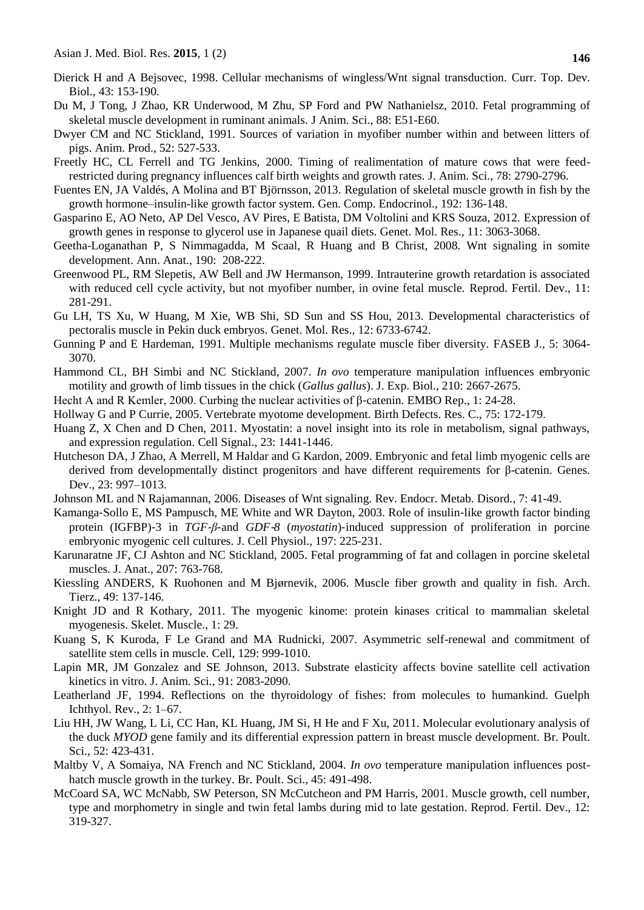- Dierick H and A Bejsovec, 1998. Cellular mechanisms of wingless/Wnt signal transduction. Curr. Top. Dev. Biol., 43: 153-190.
- Du M, J Tong, J Zhao, KR Underwood, M Zhu, SP Ford and PW Nathanielsz, 2010. Fetal programming of skeletal muscle development in ruminant animals. J Anim. Sci., 88: E51-E60.
- Dwyer CM and NC Stickland, 1991. Sources of variation in myofiber number within and between litters of pigs. Anim. Prod., 52: 527-533.
- Freetly HC, CL Ferrell and TG Jenkins, 2000. Timing of realimentation of mature cows that were feedrestricted during pregnancy influences calf birth weights and growth rates. J. Anim. Sci., 78: 2790-2796.
- Fuentes EN, JA Valdés, A Molina and BT Björnsson, 2013. Regulation of skeletal muscle growth in fish by the growth hormone–insulin-like growth factor system. Gen. Comp. Endocrinol., 192: 136-148.
- Gasparino E, AO Neto, AP Del Vesco, AV Pires, E Batista, DM Voltolini and KRS Souza, 2012. Expression of growth genes in response to glycerol use in Japanese quail diets. Genet. Mol. Res., 11: 3063-3068.
- Geetha-Loganathan P, S Nimmagadda, M Scaal, R Huang and B Christ, 2008. Wnt signaling in somite development. Ann. Anat., 190: 208-222.
- Greenwood PL, RM Slepetis, AW Bell and JW Hermanson, 1999. Intrauterine growth retardation is associated with reduced cell cycle activity, but not myofiber number, in ovine fetal muscle. Reprod. Fertil. Dev., 11: 281-291.
- Gu LH, TS Xu, W Huang, M Xie, WB Shi, SD Sun and SS Hou, 2013. Developmental characteristics of pectoralis muscle in Pekin duck embryos. Genet. Mol. Res., 12: 6733-6742.
- Gunning P and E Hardeman, 1991. Multiple mechanisms regulate muscle fiber diversity. FASEB J., 5: 3064- 3070.
- Hammond CL, BH Simbi and NC Stickland, 2007. *In ovo* temperature manipulation influences embryonic motility and growth of limb tissues in the chick (*Gallus gallus*). J. Exp. Biol., 210: 2667-2675.
- Hecht A and R Kemler, 2000. Curbing the nuclear activities of β-catenin. EMBO Rep., 1: 24-28.
- Hollway G and P Currie, 2005. Vertebrate myotome development. Birth Defects. Res. C., 75: 172-179.
- Huang Z, X Chen and D Chen, 2011. Myostatin: a novel insight into its role in metabolism, signal pathways, and expression regulation. Cell Signal., 23: 1441-1446.
- Hutcheson DA, J Zhao, A Merrell, M Haldar and G Kardon, 2009. Embryonic and fetal limb myogenic cells are derived from developmentally distinct progenitors and have different requirements for β-catenin. Genes. Dev., 23: 997–1013.
- Johnson ML and N Rajamannan, 2006. Diseases of Wnt signaling. Rev. Endocr. Metab. Disord., 7: 41-49.
- Kamanga‐Sollo E, MS Pampusch, ME White and WR Dayton, 2003. Role of insulin‐like growth factor binding protein (IGFBP)‐3 in *TGF*‐*β*‐and *GDF*‐*8* (*myostatin*)‐induced suppression of proliferation in porcine embryonic myogenic cell cultures. J. Cell Physiol., 197: 225-231.
- Karunaratne JF, CJ Ashton and NC Stickland, 2005. Fetal programming of fat and collagen in porcine skeletal muscles. J. Anat., 207: 763-768.
- Kiessling ANDERS, K Ruohonen and M Bjørnevik, 2006. Muscle fiber growth and quality in fish. Arch. Tierz., 49: 137-146.
- Knight JD and R Kothary, 2011. The myogenic kinome: protein kinases critical to mammalian skeletal myogenesis. Skelet. Muscle., 1: 29.
- Kuang S, K Kuroda, F Le Grand and MA Rudnicki, 2007. Asymmetric self-renewal and commitment of satellite stem cells in muscle. Cell, 129: 999-1010.
- Lapin MR, JM Gonzalez and SE Johnson, 2013. Substrate elasticity affects bovine satellite cell activation kinetics in vitro. J. Anim. Sci., 91: 2083-2090.
- Leatherland JF, 1994. Reflections on the thyroidology of fishes: from molecules to humankind. Guelph Ichthyol. Rev., 2: 1–67.
- Liu HH, JW Wang, L Li, CC Han, KL Huang, JM Si, H He and F Xu, 2011. Molecular evolutionary analysis of the duck *MYOD* gene family and its differential expression pattern in breast muscle development. Br. Poult. Sci., 52: 423-431.
- Maltby V, A Somaiya, NA French and NC Stickland, 2004. *In ovo* temperature manipulation influences posthatch muscle growth in the turkey. Br. Poult. Sci., 45: 491-498.
- McCoard SA, WC McNabb, SW Peterson, SN McCutcheon and PM Harris, 2001. Muscle growth, cell number, type and morphometry in single and twin fetal lambs during mid to late gestation. Reprod. Fertil. Dev., 12: 319-327.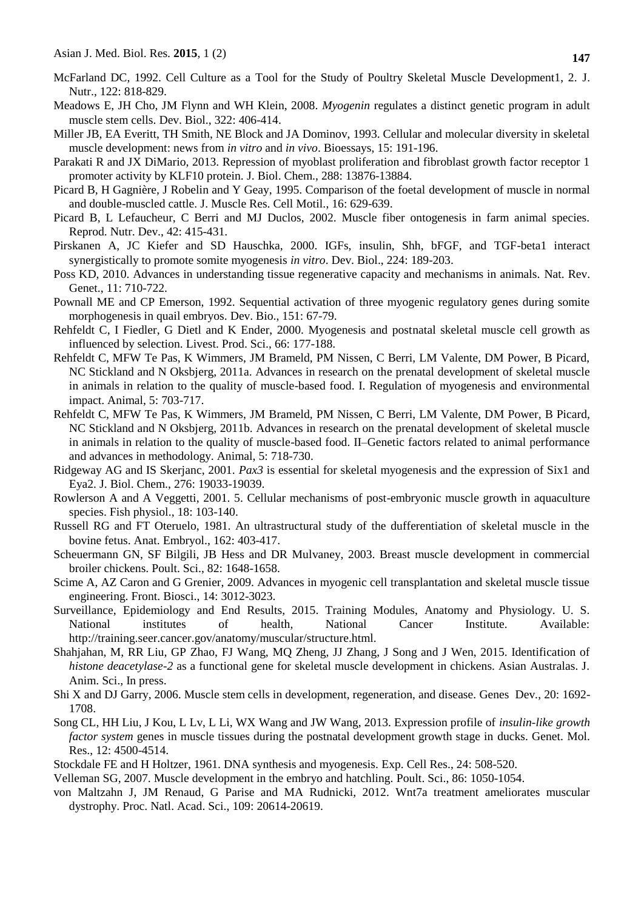- McFarland DC, 1992. Cell Culture as a Tool for the Study of Poultry Skeletal Muscle Development1, 2. J. Nutr., 122: 818-829.
- Meadows E, JH Cho, JM Flynn and WH Klein, 2008. *Myogenin* regulates a distinct genetic program in adult muscle stem cells. Dev. Biol., 322: 406-414.
- Miller JB, EA Everitt, TH Smith, NE Block and JA Dominov, 1993. Cellular and molecular diversity in skeletal muscle development: news from *in vitro* and *in vivo*. Bioessays, 15: 191-196.
- Parakati R and JX DiMario, 2013. Repression of myoblast proliferation and fibroblast growth factor receptor 1 promoter activity by KLF10 protein. J. Biol. Chem., 288: 13876-13884.
- Picard B, H Gagnière, J Robelin and Y Geay, 1995. Comparison of the foetal development of muscle in normal and double-muscled cattle. J. Muscle Res. Cell Motil., 16: 629-639.
- Picard B, L Lefaucheur, C Berri and MJ Duclos, 2002. Muscle fiber ontogenesis in farm animal species. Reprod. Nutr. Dev., 42: 415-431.
- Pirskanen A, JC Kiefer and SD Hauschka, 2000. IGFs, insulin, Shh, bFGF, and TGF-beta1 interact synergistically to promote somite myogenesis *in vitro*. Dev. Biol., 224: 189-203.
- Poss KD, 2010. Advances in understanding tissue regenerative capacity and mechanisms in animals. Nat. Rev. Genet., 11: 710-722.
- Pownall ME and CP Emerson, 1992. Sequential activation of three myogenic regulatory genes during somite morphogenesis in quail embryos. Dev. Bio., 151: 67-79.
- Rehfeldt C, I Fiedler, G Dietl and K Ender, 2000. Myogenesis and postnatal skeletal muscle cell growth as influenced by selection. Livest. Prod. Sci., 66: 177-188.
- Rehfeldt C, MFW Te Pas, K Wimmers, JM Brameld, PM Nissen, C Berri, LM Valente, DM Power, B Picard, NC Stickland and N Oksbjerg, 2011a. Advances in research on the prenatal development of skeletal muscle in animals in relation to the quality of muscle-based food. I. Regulation of myogenesis and environmental impact. Animal, 5: 703-717.
- Rehfeldt C, MFW Te Pas, K Wimmers, JM Brameld, PM Nissen, C Berri, LM Valente, DM Power, B Picard, NC Stickland and N Oksbjerg, 2011b. Advances in research on the prenatal development of skeletal muscle in animals in relation to the quality of muscle-based food. II–Genetic factors related to animal performance and advances in methodology. Animal, 5: 718-730.
- Ridgeway AG and IS Skerjanc, 2001. *Pax3* is essential for skeletal myogenesis and the expression of Six1 and Eya2. J. Biol. Chem., 276: 19033-19039.
- Rowlerson A and A Veggetti, 2001. 5. Cellular mechanisms of post-embryonic muscle growth in aquaculture species. Fish physiol., 18: 103-140.
- Russell RG and FT Oteruelo, 1981. An ultrastructural study of the dufferentiation of skeletal muscle in the bovine fetus. Anat. Embryol., 162: 403-417.
- Scheuermann GN, SF Bilgili, JB Hess and DR Mulvaney, 2003. Breast muscle development in commercial broiler chickens. Poult. Sci., 82: 1648-1658.
- Scime A, AZ Caron and G Grenier, 2009. Advances in myogenic cell transplantation and skeletal muscle tissue engineering. Front. Biosci., 14: 3012-3023.
- Surveillance, Epidemiology and End Results, 2015. Training Modules, Anatomy and Physiology. U. S. National institutes of health, National Cancer Institute. Available: http://training.seer.cancer.gov/anatomy/muscular/structure.html.
- Shahjahan, M, RR Liu, GP Zhao, FJ Wang, MQ Zheng, JJ Zhang, J Song and J Wen, 2015. Identification of *histone deacetylase-2* as a functional gene for skeletal muscle development in chickens. Asian Australas. J. Anim. Sci., In press.
- Shi X and DJ Garry, 2006. Muscle stem cells in development, regeneration, and disease. Genes Dev., 20: 1692- 1708.
- Song CL, HH Liu, J Kou, L Lv, L Li, WX Wang and JW Wang, 2013. Expression profile of *insulin-like growth factor system* genes in muscle tissues during the postnatal development growth stage in ducks. Genet. Mol. Res., 12: 4500-4514.
- Stockdale FE and H Holtzer, 1961. DNA synthesis and myogenesis. Exp. Cell Res., 24: 508-520.
- Velleman SG, 2007. Muscle development in the embryo and hatchling. Poult. Sci., 86: 1050-1054.
- von Maltzahn J, JM Renaud, G Parise and MA Rudnicki, 2012. Wnt7a treatment ameliorates muscular dystrophy. Proc. Natl. Acad. Sci., 109: 20614-20619.